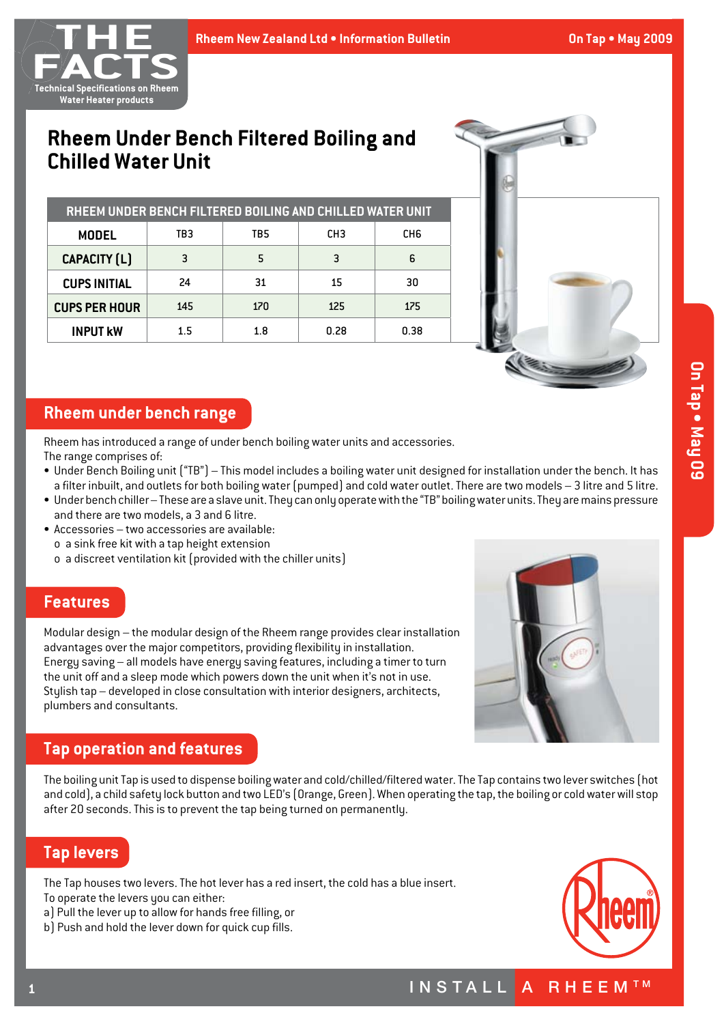

# **Rheem Under Bench Filtered Boiling and Chilled Water Unit**

| RHEEM UNDER BENCH FILTERED BOILING AND CHILLED WATER UNIT |     |     |                 |      |  |  |  |  |  |
|-----------------------------------------------------------|-----|-----|-----------------|------|--|--|--|--|--|
| MODEL                                                     | TB3 | TB5 | CH <sub>3</sub> | CH6  |  |  |  |  |  |
| <b>CAPACITY (L)</b>                                       | 3   | 5   | 3               | 6    |  |  |  |  |  |
| <b>CUPS INITIAL</b>                                       | 24  | 31  | 15              | 30   |  |  |  |  |  |
| <b>CUPS PER HOUR</b>                                      | 145 | 170 | 125             | 175  |  |  |  |  |  |
| <b>INPUT KW</b>                                           | 1.5 | 1.8 | 0.28            | 0.38 |  |  |  |  |  |



### **Rheem under bench range**

Rheem has introduced a range of under bench boiling water units and accessories. The range comprises of:

- • Under Bench Boiling unit ("TB") This model includes a boiling water unit designed for installation under the bench. It has a filter inbuilt, and outlets for both boiling water (pumped) and cold water outlet. There are two models – 3 litre and 5 litre.
- Under bench chiller These are a slave unit. They can only operate with the "TB" boiling water units. They are mains pressure and there are two models, a 3 and 6 litre.
- $\bullet$  Accessories two accessories are available: o a sink free kit with a tap height extension
	- $o$  a discreet ventilation kit (provided with the chiller units)

#### **Features**

Modular design – the modular design of the Rheem range provides clear installation advantages over the major competitors, providing flexibility in installation. Energy saving – all models have energy saving features, including a timer to turn the unit off and a sleep mode which powers down the unit when it's not in use. Stylish tap – developed in close consultation with interior designers, architects, plumbers and consultants.



## **Tap operation and features**

The boiling unit Tap is used to dispense boiling water and cold/chilled/filtered water. The Tap contains two lever switches (hot and cold), a child safety lock button and two LED's (Orange, Green).When operating the tap,the boiling or coldwaterwill stop after 20 seconds.This is to prevent the tap being turned on permanently.

## **Tap levers**

The Tap houses two levers. The hot lever has a red insert, the cold has a blue insert.

- To operate the levers you can either:
- a) Pull the lever up to allow for hands free filling, or
- b) Push and hold the lever down for quick cup fills.

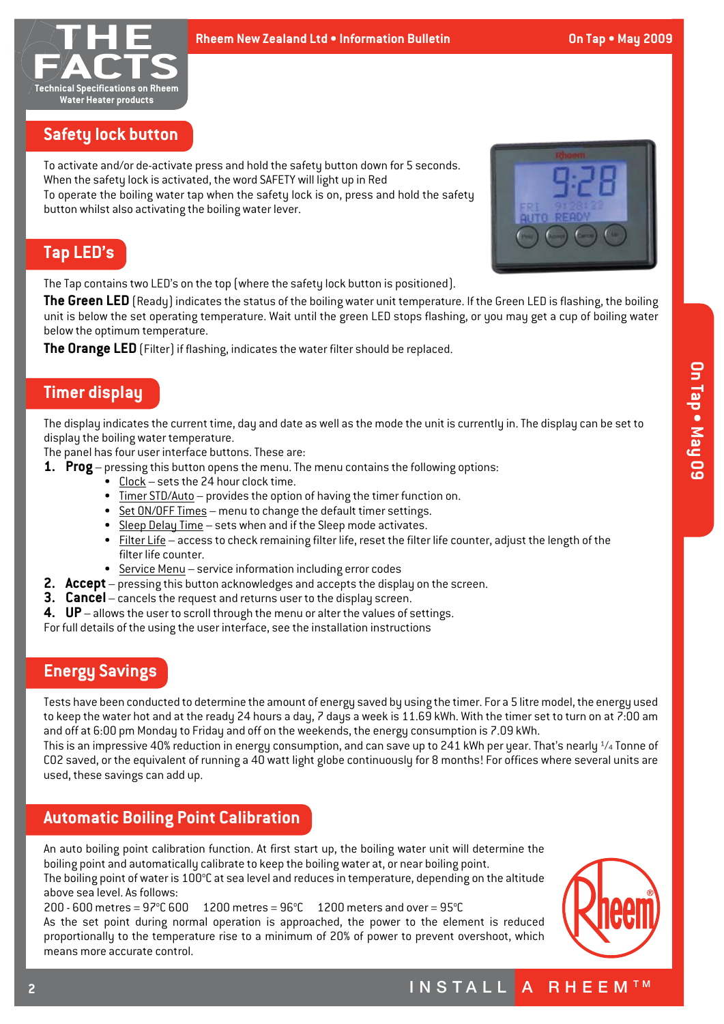

## **Safety lock button**

To activate and/or de-activate press and hold the safety button down for 5 seconds. When the safety lock is activated, the word SAFETY will light up in Red To operate the boiling water tap when the safety lock is on, press and hold the safety button whilst also activating the boiling water lever.



### **Tap LED's**

The Tap contains two LED's on the top (where the safety lock button is positioned).

**The Green LED** (Ready) indicates the status of the boiling water unit temperature. If the Green LED is flashing, the boiling unit is below the set operating temperature. Wait until the green LED stops flashing, or you may get a cup of boiling water below the optimum temperature.

The Orange LED (Filter) if flashing, indicates the water filter should be replaced.

## **Timer display**

The display indicates the current time, day and date as well as the mode the unit is currently in. The display can be set to display the boiling water temperature.

The panel has four user interface buttons. These are:

- **1. Prog** pressing this button opens the menu. The menu contains the following options:
	- Clock sets the 24 hour clock time.
	- Timer STD/Auto provides the option of having the timer function on.
	- Set ON/OFF Times menu to change the default timer settings.
	- Sleep Delay Time sets when and if the Sleep mode activates.
	- Filter Life access to check remaining filter life, reset the filter life counter, adjust the length of the filter life counter.
	- Service Menu service information including error codes
- **2. Accept** pressing this button acknowledges and accepts the display on the screen.
- **3. Cancel** cancels the request and returns user to the display screen.
- **4. UP** allows the user to scroll through the menu or alter the values of settings.

For full details of the using the user interface, see the installation instructions

### **Energy Savings**

Tests have been conducted to determine the amount of energy saved by using the timer. For a 5 litre model, the energy used to keep the water hot and at the ready 24 hours a day, 7 days a week is 11.69 kWh. With the timer set to turn on at 7:00 am and off at 6:00 pm Monday to Friday and off on the weekends, the energy consumption is 7.09 kWh.

This is an impressive 40% reduction in energy consumption, and can save up to 241 kWh per year. That's nearly  $\frac{1}{4}$  Tonne of CO2 saved, or the equivalent of running a 40 watt light globe continuously for 8 months! For offices where several units are used, these savings can add up.

### **Automatic Boiling Point Calibration**

An auto boiling point calibration function. At first start up, the boiling water unit will determine the boiling point and automatically calibrate to keep the boiling water at, or near boiling point. The boiling point of water is 100°C at sea level and reduces in temperature, depending on the altitude above sea level. As follows:

 $200 - 600$  metres = 97°C 600 1200 metres = 96°C 1200 meters and over = 95°C As the set point during normal operation is approached, the power to the element is reduced proportionally to the temperature rise to a minimum of 20% of power to prevent overshoot, which means more accurate control.



## INSTALL A RHEEMTM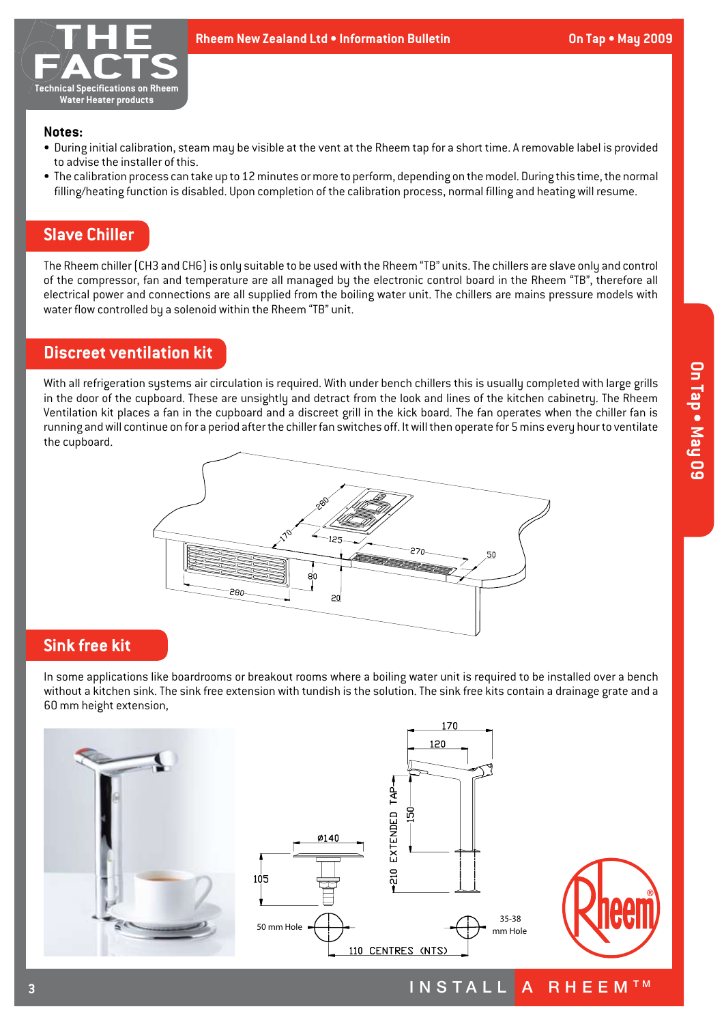

#### **Notes:**

- • During initial calibration, steam may be visible at the vent at the Rheem tap for a short time. A removable label is provided to advise the installer of this.
- The calibration process can take up to 12 minutes or more to perform, depending on the model. During this time, the normal filling/heating function is disabled. Upon completion of the calibration process, normal filling and heating will resume.

### **Slave Chiller**

The Rheem chiller (CH3 and CH6) is only suitable to be used with the Rheem "TB" units. The chillers are slave only and control of the compressor, fan and temperature are all managed by the electronic control board in the Rheem "TB", therefore all electrical power and connections are all supplied from the boiling water unit. The chillers are mains pressure models with water flow controlled by a solenoid within the Rheem "TB" unit.

### **Discreet ventilation kit**

With all refrigeration systems air circulation is required. With under bench chillers this is usually completed with large grills in the door of the cupboard. These are unsightly and detract from the look and lines of the kitchen cabinetry. The Rheem Ventilation kit places a fan in the cupboard and a discreet grill in the kick board. The fan operates when the chiller fan is running and will continue on for a period after the chiller fan switches off. It will then operate for 5 mins every hour to ventilate the cupboard.



#### **Sink free kit**

**3**

In some applications like boardrooms or breakout rooms where a boiling water unit is required to be installed over a bench without a kitchen sink. The sink free extension with tundish is the solution. The sink free kits contain a drainage grate and a 60 mm height extension,







INSTALL A RHEEMTM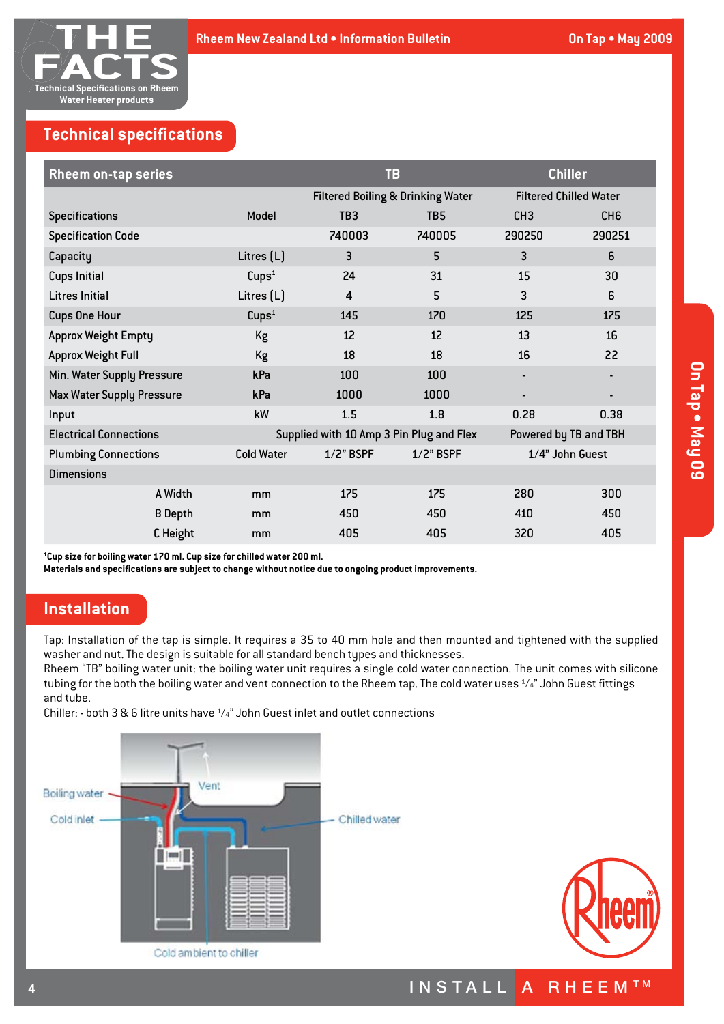

## **Technical specifications**

| <b>Rheem on-tap series</b>                                                |                   | <b>TB</b>                                    |                 |                               | <b>Chiller</b>        |
|---------------------------------------------------------------------------|-------------------|----------------------------------------------|-----------------|-------------------------------|-----------------------|
|                                                                           |                   | <b>Filtered Boiling &amp; Drinking Water</b> |                 | <b>Filtered Chilled Water</b> |                       |
| <b>Specifications</b>                                                     | Model             | TB <sub>3</sub>                              | TB <sub>5</sub> | CH <sub>3</sub>               | CH <sub>6</sub>       |
| <b>Specification Code</b>                                                 |                   | 740003                                       | 740005          | 290250                        | 290251                |
| Capacity                                                                  | Litres $[L]$      | 3                                            | 5               | 3                             | 6                     |
| <b>Cups Initial</b>                                                       | Cups <sup>1</sup> | 24                                           | 31              | 15                            | 30                    |
| <b>Litres Initial</b>                                                     | Litres $[L]$      | $\overline{4}$                               | 5               | 3                             | 6                     |
| <b>Cups One Hour</b>                                                      | Cups <sup>1</sup> | 145                                          | 170             | 125                           | 175                   |
| <b>Approx Weight Empty</b>                                                | Kg                | 12                                           | 12              | 13                            | 16                    |
| <b>Approx Weight Full</b>                                                 | Kg                | 18                                           | 18              | 16                            | 22                    |
| Min. Water Supply Pressure                                                | kPa               | 100                                          | 100             | ٠                             |                       |
| <b>Max Water Supply Pressure</b>                                          | kPa               | 1000                                         | 1000            |                               |                       |
| Input                                                                     | kW                | 1.5                                          | 1.8             | 0.28                          | 0.38                  |
| Supplied with 10 Amp 3 Pin Plug and Flex<br><b>Electrical Connections</b> |                   |                                              |                 |                               | Powered by TB and TBH |
| <b>Plumbing Connections</b>                                               | <b>Cold Water</b> | $1/2$ " BSPF                                 | $1/2$ " BSPF    |                               | 1/4" John Guest       |
| <b>Dimensions</b>                                                         |                   |                                              |                 |                               |                       |
| A Width                                                                   | mm                | 175                                          | 175             | 280                           | 300                   |
| <b>B</b> Depth                                                            | mm                | 450                                          | 450             | 410                           | 450                   |
| C Height                                                                  | mm                | 405                                          | 405             | 320                           | 405                   |

**1 Cup size for boiling water 170 ml. Cup size for chilled water 200 ml.**

**Materials and specifications are subject to change without notice due to ongoing product improvements.**

### **Installation**

Tap: Installation of the tap is simple. It requires a 35 to 40 mm hole and then mounted and tightened with the supplied washer and nut.The design is suitable for all standard bench types and thicknesses.

Rheem "TB" boiling water unit: the boiling water unit requires a single cold water connection. The unit comes with silicone tubing for the both the boiling water and vent connection to the Rheem tap. The cold water uses 1/4" John Guest fittings and tube.

Chiller: - both 3 & 6 litre units have  $\frac{1}{4}$ " John Guest inlet and outlet connections





INSTALL A RHEEMTM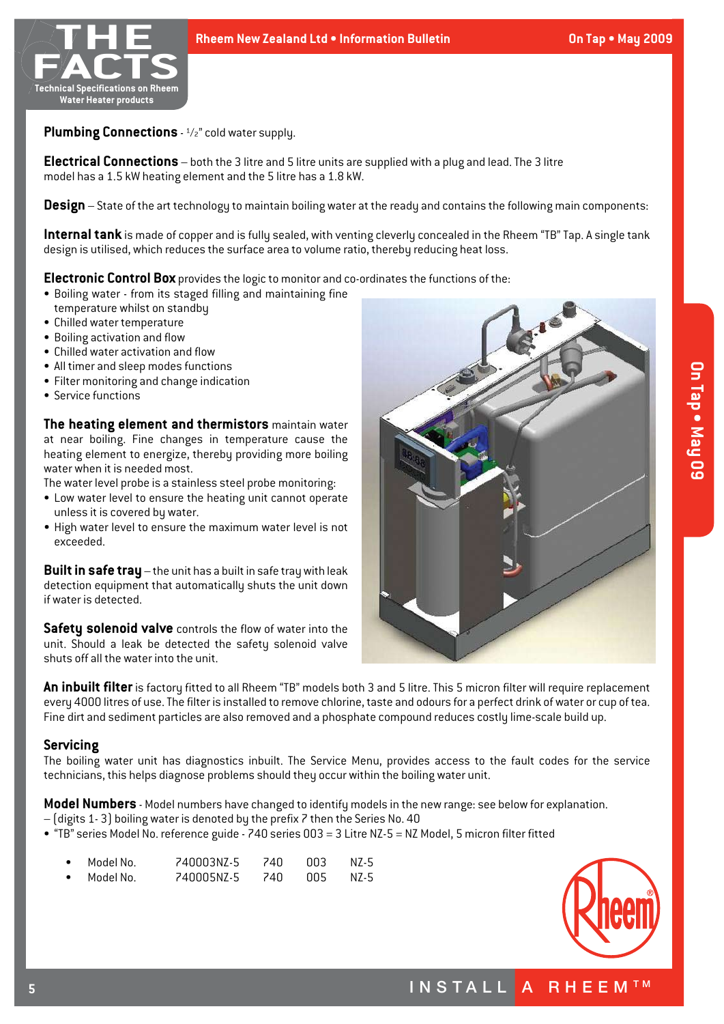

**Plumbing Connections** - ½" cold water supply.

**Electrical Connections** – both the 3 litre and 5 litre units are supplied with a plug and lead.The 3 litre model has a 1.5 kW heating element and the 5 litre has a 1.8 kW.

**Design** – State of the art technology to maintain boiling water at the ready and contains the following main components:

**Internal tank** is made of copper and is fully sealed, with venting cleverly concealed in the Rheem "TB"Tap. A single tank design is utilised, which reduces the surface area to volume ratio, therebu reducing heat loss.

**Electronic Control Box** provides the logic to monitor and co-ordinates the functions of the:

- Boiling water from its staged filling and maintaining fine temperature whilst on standby
- • Chilled water temperature
- Boiling activation and flow
- Chilled water activation and flow
- All timer and sleep modes functions
- Filter monitoring and change indication
- Service functions

**The heating element and thermistors** maintain water at near boiling. Fine changes in temperature cause the heating element to energize, thereby providing more boiling water when it is needed most.

The water level probe is a stainless steel probe monitoring:

- Low water level to ensure the heating unit cannot operate unless it is covered by water.
- High water level to ensure the maximum water level is not exceeded.

**Built in safe tray** – the unit has a built in safe tray with leak detection equipment that automatically shuts the unit down if water is detected.

**Safety solenoid valve** controls the flow of water into the unit. Should a leak be detected the safety solenoid valve shuts off all the water into the unit.



**An inbuilt filter** is factory fitted to all Rheem "TB" models both 3 and 5 litre.This 5 micron filter will require replacement every 4000 litres of use.The filter is installed to remove chlorine, taste and odours for a perfect drink of water or cup of tea. Fine dirt and sediment particles are also removed and a phosphate compound reduces costly lime-scale build up.

#### **Servicing**

The boiling water unit has diagnostics inbuilt. The Service Menu, provides access to the fault codes for the service technicians, this helps diagnose problems should they occur within the boiling water unit.

**Model Numbers** - Model numbers have changed to identify models in the new range: see below for explanation.

- (digits 1- 3) boiling water is denoted by the prefix 7 then the Series No. 40
- • "TB" series Model No. reference guide 740 series 003 = 3 Litre NZ-5 = NZ Model, 5 micron filter fitted

| • Model No. | 740003N7-5 | 74N   | nn 3  | N7-5 |
|-------------|------------|-------|-------|------|
| • Model No. | 740005N7-5 | 74N - | -005- | N7-5 |